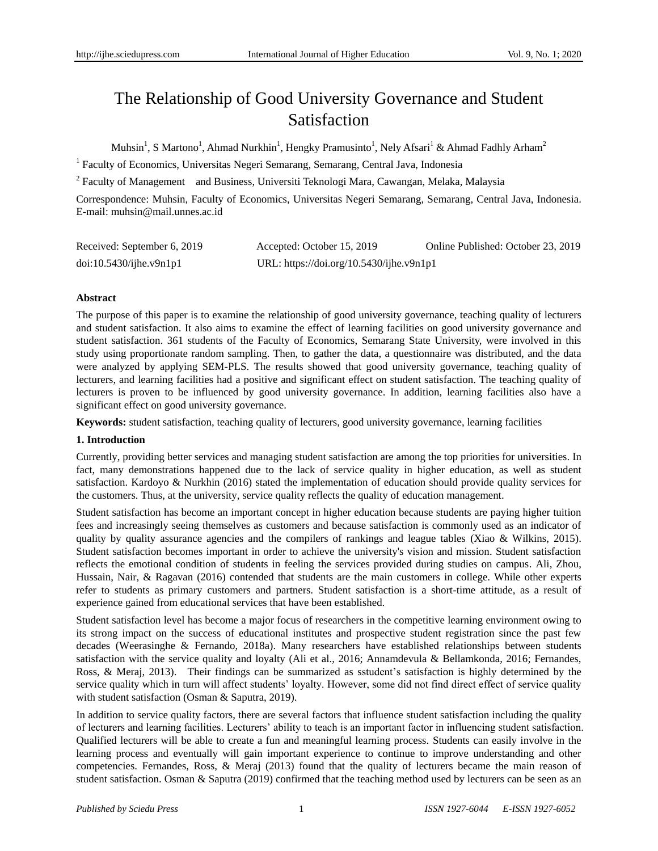# The Relationship of Good University Governance and Student Satisfaction

Muhsin<sup>1</sup>, S Martono<sup>1</sup>, Ahmad Nurkhin<sup>1</sup>, Hengky Pramusinto<sup>1</sup>, Nely Afsari<sup>1</sup> & Ahmad Fadhly Arham<sup>2</sup>

<sup>1</sup> Faculty of Economics, Universitas Negeri Semarang, Semarang, Central Java, Indonesia

<sup>2</sup> Faculty of Management and Business, Universiti Teknologi Mara, Cawangan, Melaka, Malaysia

Correspondence: Muhsin, Faculty of Economics, Universitas Negeri Semarang, Semarang, Central Java, Indonesia. E-mail: muhsin@mail.unnes.ac.id

| Received: September 6, 2019 | Accepted: October 15, 2019               | Online Published: October 23, 2019 |
|-----------------------------|------------------------------------------|------------------------------------|
| $doi:10.5430/ij$ he.v9n1p1  | URL: https://doi.org/10.5430/ijhe.v9n1p1 |                                    |

#### **Abstract**

The purpose of this paper is to examine the relationship of good university governance, teaching quality of lecturers and student satisfaction. It also aims to examine the effect of learning facilities on good university governance and student satisfaction. 361 students of the Faculty of Economics, Semarang State University, were involved in this study using proportionate random sampling. Then, to gather the data, a questionnaire was distributed, and the data were analyzed by applying SEM-PLS. The results showed that good university governance, teaching quality of lecturers, and learning facilities had a positive and significant effect on student satisfaction. The teaching quality of lecturers is proven to be influenced by good university governance. In addition, learning facilities also have a significant effect on good university governance.

**Keywords:** student satisfaction, teaching quality of lecturers, good university governance, learning facilities

#### **1. Introduction**

Currently, providing better services and managing student satisfaction are among the top priorities for universities. In fact, many demonstrations happened due to the lack of service quality in higher education, as well as student satisfaction. Kardoyo & Nurkhin (2016) stated the implementation of education should provide quality services for the customers. Thus, at the university, service quality reflects the quality of education management.

Student satisfaction has become an important concept in higher education because students are paying higher tuition fees and increasingly seeing themselves as customers and because satisfaction is commonly used as an indicator of quality by quality assurance agencies and the compilers of rankings and league tables (Xiao & Wilkins, 2015). Student satisfaction becomes important in order to achieve the university's vision and mission. Student satisfaction reflects the emotional condition of students in feeling the services provided during studies on campus. Ali, Zhou, Hussain, Nair, & Ragavan (2016) contended that students are the main customers in college. While other experts refer to students as primary customers and partners. Student satisfaction is a short-time attitude, as a result of experience gained from educational services that have been established.

Student satisfaction level has become a major focus of researchers in the competitive learning environment owing to its strong impact on the success of educational institutes and prospective student registration since the past few decades (Weerasinghe & Fernando, 2018a). Many researchers have established relationships between students satisfaction with the service quality and loyalty (Ali et al., 2016; Annamdevula & Bellamkonda, 2016; Fernandes, Ross, & Meraj, 2013). Their findings can be summarized as sstudent's satisfaction is highly determined by the service quality which in turn will affect students' loyalty. However, some did not find direct effect of service quality with student satisfaction (Osman & Saputra, 2019).

In addition to service quality factors, there are several factors that influence student satisfaction including the quality of lecturers and learning facilities. Lecturers' ability to teach is an important factor in influencing student satisfaction. Qualified lecturers will be able to create a fun and meaningful learning process. Students can easily involve in the learning process and eventually will gain important experience to continue to improve understanding and other competencies. Fernandes, Ross, & Meraj (2013) found that the quality of lecturers became the main reason of student satisfaction. Osman & Saputra (2019) confirmed that the teaching method used by lecturers can be seen as an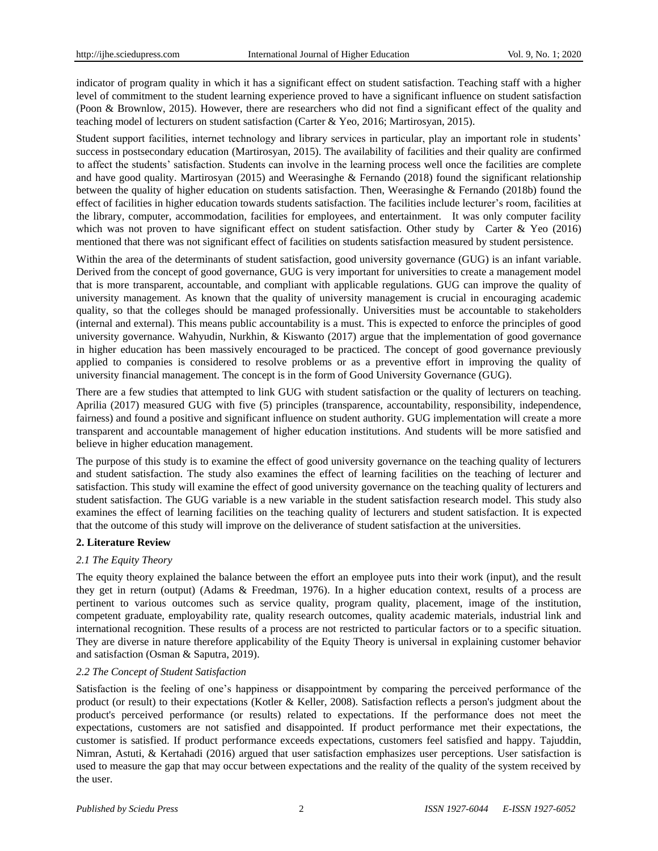indicator of program quality in which it has a significant effect on student satisfaction. Teaching staff with a higher level of commitment to the student learning experience proved to have a significant influence on student satisfaction (Poon & Brownlow, 2015). However, there are researchers who did not find a significant effect of the quality and teaching model of lecturers on student satisfaction (Carter & Yeo, 2016; Martirosyan, 2015).

Student support facilities, internet technology and library services in particular, play an important role in students' success in postsecondary education (Martirosyan, 2015). The availability of facilities and their quality are confirmed to affect the students' satisfaction. Students can involve in the learning process well once the facilities are complete and have good quality. Martirosyan (2015) and Weerasinghe & Fernando (2018) found the significant relationship between the quality of higher education on students satisfaction. Then, Weerasinghe & Fernando (2018b) found the effect of facilities in higher education towards students satisfaction. The facilities include lecturer's room, facilities at the library, computer, accommodation, facilities for employees, and entertainment. It was only computer facility which was not proven to have significant effect on student satisfaction. Other study by Carter & Yeo (2016) mentioned that there was not significant effect of facilities on students satisfaction measured by student persistence.

Within the area of the determinants of student satisfaction, good university governance (GUG) is an infant variable. Derived from the concept of good governance, GUG is very important for universities to create a management model that is more transparent, accountable, and compliant with applicable regulations. GUG can improve the quality of university management. As known that the quality of university management is crucial in encouraging academic quality, so that the colleges should be managed professionally. Universities must be accountable to stakeholders (internal and external). This means public accountability is a must. This is expected to enforce the principles of good university governance. Wahyudin, Nurkhin, & Kiswanto (2017) argue that the implementation of good governance in higher education has been massively encouraged to be practiced. The concept of good governance previously applied to companies is considered to resolve problems or as a preventive effort in improving the quality of university financial management. The concept is in the form of Good University Governance (GUG).

There are a few studies that attempted to link GUG with student satisfaction or the quality of lecturers on teaching. Aprilia (2017) measured GUG with five (5) principles (transparence, accountability, responsibility, independence, fairness) and found a positive and significant influence on student authority. GUG implementation will create a more transparent and accountable management of higher education institutions. And students will be more satisfied and believe in higher education management.

The purpose of this study is to examine the effect of good university governance on the teaching quality of lecturers and student satisfaction. The study also examines the effect of learning facilities on the teaching of lecturer and satisfaction. This study will examine the effect of good university governance on the teaching quality of lecturers and student satisfaction. The GUG variable is a new variable in the student satisfaction research model. This study also examines the effect of learning facilities on the teaching quality of lecturers and student satisfaction. It is expected that the outcome of this study will improve on the deliverance of student satisfaction at the universities.

## **2. Literature Review**

## *2.1 The Equity Theory*

The equity theory explained the balance between the effort an employee puts into their work (input), and the result they get in return (output) (Adams & Freedman, 1976). In a higher education context, results of a process are pertinent to various outcomes such as service quality, program quality, placement, image of the institution, competent graduate, employability rate, quality research outcomes, quality academic materials, industrial link and international recognition. These results of a process are not restricted to particular factors or to a specific situation. They are diverse in nature therefore applicability of the Equity Theory is universal in explaining customer behavior and satisfaction (Osman & Saputra, 2019).

#### *2.2 The Concept of Student Satisfaction*

Satisfaction is the feeling of one's happiness or disappointment by comparing the perceived performance of the product (or result) to their expectations (Kotler & Keller, 2008). Satisfaction reflects a person's judgment about the product's perceived performance (or results) related to expectations. If the performance does not meet the expectations, customers are not satisfied and disappointed. If product performance met their expectations, the customer is satisfied. If product performance exceeds expectations, customers feel satisfied and happy. Tajuddin, Nimran, Astuti, & Kertahadi (2016) argued that user satisfaction emphasizes user perceptions. User satisfaction is used to measure the gap that may occur between expectations and the reality of the quality of the system received by the user.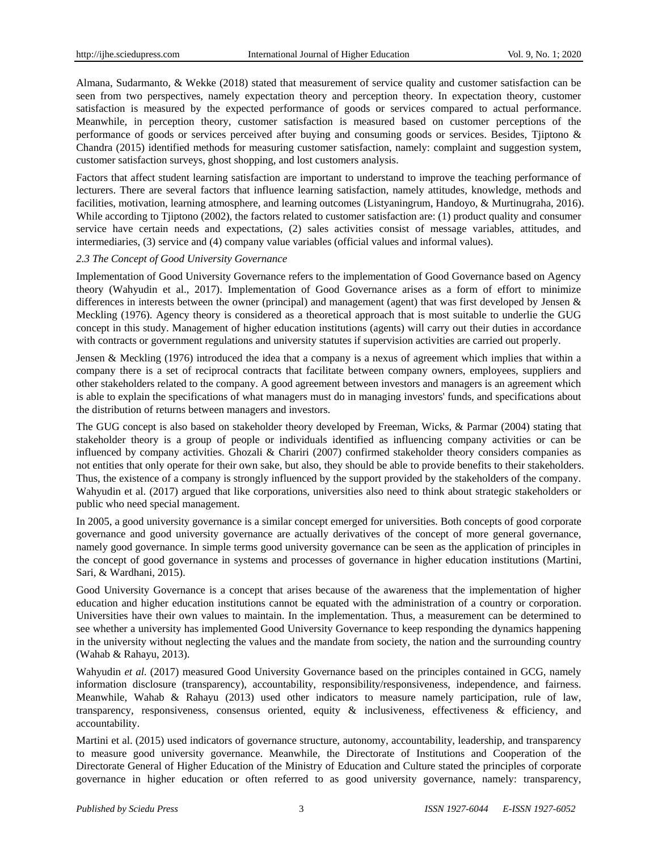Almana, Sudarmanto, & Wekke (2018) stated that measurement of service quality and customer satisfaction can be seen from two perspectives, namely expectation theory and perception theory. In expectation theory, customer satisfaction is measured by the expected performance of goods or services compared to actual performance. Meanwhile, in perception theory, customer satisfaction is measured based on customer perceptions of the performance of goods or services perceived after buying and consuming goods or services. Besides, Tjiptono & Chandra (2015) identified methods for measuring customer satisfaction, namely: complaint and suggestion system, customer satisfaction surveys, ghost shopping, and lost customers analysis.

Factors that affect student learning satisfaction are important to understand to improve the teaching performance of lecturers. There are several factors that influence learning satisfaction, namely attitudes, knowledge, methods and facilities, motivation, learning atmosphere, and learning outcomes (Listyaningrum, Handoyo, & Murtinugraha, 2016). While according to Tiiptono (2002), the factors related to customer satisfaction are: (1) product quality and consumer service have certain needs and expectations, (2) sales activities consist of message variables, attitudes, and intermediaries, (3) service and (4) company value variables (official values and informal values).

#### *2.3 The Concept of Good University Governance*

Implementation of Good University Governance refers to the implementation of Good Governance based on Agency theory (Wahyudin et al., 2017). Implementation of Good Governance arises as a form of effort to minimize differences in interests between the owner (principal) and management (agent) that was first developed by Jensen & Meckling (1976). Agency theory is considered as a theoretical approach that is most suitable to underlie the GUG concept in this study. Management of higher education institutions (agents) will carry out their duties in accordance with contracts or government regulations and university statutes if supervision activities are carried out properly.

Jensen & Meckling (1976) introduced the idea that a company is a nexus of agreement which implies that within a company there is a set of reciprocal contracts that facilitate between company owners, employees, suppliers and other stakeholders related to the company. A good agreement between investors and managers is an agreement which is able to explain the specifications of what managers must do in managing investors' funds, and specifications about the distribution of returns between managers and investors.

The GUG concept is also based on stakeholder theory developed by Freeman, Wicks, & Parmar (2004) stating that stakeholder theory is a group of people or individuals identified as influencing company activities or can be influenced by company activities. Ghozali & Chariri (2007) confirmed stakeholder theory considers companies as not entities that only operate for their own sake, but also, they should be able to provide benefits to their stakeholders. Thus, the existence of a company is strongly influenced by the support provided by the stakeholders of the company. Wahyudin et al. (2017) argued that like corporations, universities also need to think about strategic stakeholders or public who need special management.

In 2005, a good university governance is a similar concept emerged for universities. Both concepts of good corporate governance and good university governance are actually derivatives of the concept of more general governance, namely good governance. In simple terms good university governance can be seen as the application of principles in the concept of good governance in systems and processes of governance in higher education institutions (Martini, Sari, & Wardhani, 2015).

Good University Governance is a concept that arises because of the awareness that the implementation of higher education and higher education institutions cannot be equated with the administration of a country or corporation. Universities have their own values to maintain. In the implementation. Thus, a measurement can be determined to see whether a university has implemented Good University Governance to keep responding the dynamics happening in the university without neglecting the values and the mandate from society, the nation and the surrounding country (Wahab & Rahayu, 2013).

Wahyudin *et al.* (2017) measured Good University Governance based on the principles contained in GCG, namely information disclosure (transparency), accountability, responsibility/responsiveness, independence, and fairness. Meanwhile, Wahab & Rahayu (2013) used other indicators to measure namely participation, rule of law, transparency, responsiveness, consensus oriented, equity  $\&$  inclusiveness, effectiveness  $\&$  efficiency, and accountability.

Martini et al. (2015) used indicators of governance structure, autonomy, accountability, leadership, and transparency to measure good university governance. Meanwhile, the Directorate of Institutions and Cooperation of the Directorate General of Higher Education of the Ministry of Education and Culture stated the principles of corporate governance in higher education or often referred to as good university governance, namely: transparency,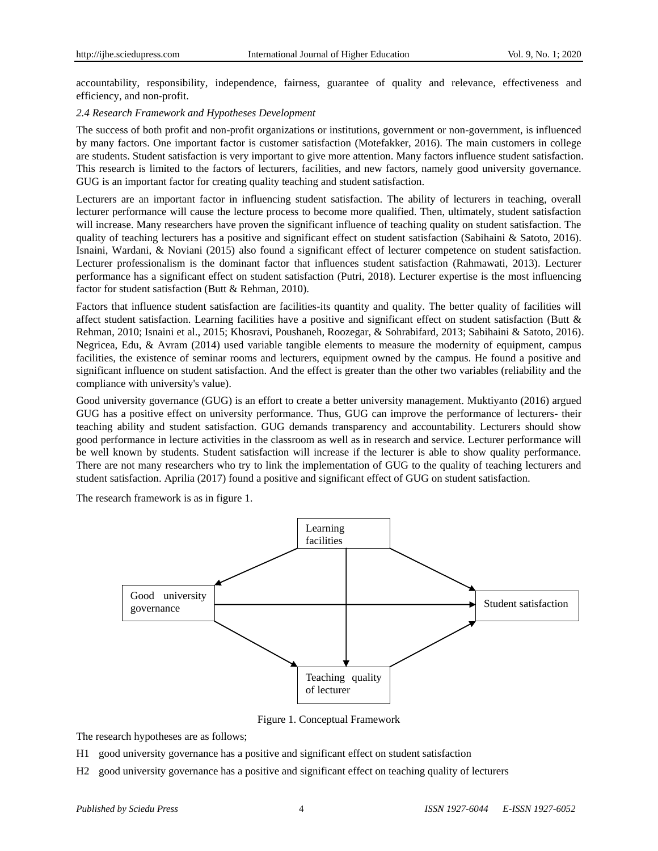accountability, responsibility, independence, fairness, guarantee of quality and relevance, effectiveness and efficiency, and non-profit.

#### *2.4 Research Framework and Hypotheses Development*

The success of both profit and non-profit organizations or institutions, government or non-government, is influenced by many factors. One important factor is customer satisfaction (Motefakker, 2016). The main customers in college are students. Student satisfaction is very important to give more attention. Many factors influence student satisfaction. This research is limited to the factors of lecturers, facilities, and new factors, namely good university governance. GUG is an important factor for creating quality teaching and student satisfaction.

Lecturers are an important factor in influencing student satisfaction. The ability of lecturers in teaching, overall lecturer performance will cause the lecture process to become more qualified. Then, ultimately, student satisfaction will increase. Many researchers have proven the significant influence of teaching quality on student satisfaction. The quality of teaching lecturers has a positive and significant effect on student satisfaction (Sabihaini & Satoto, 2016). Isnaini, Wardani, & Noviani (2015) also found a significant effect of lecturer competence on student satisfaction. Lecturer professionalism is the dominant factor that influences student satisfaction (Rahmawati, 2013). Lecturer performance has a significant effect on student satisfaction (Putri, 2018). Lecturer expertise is the most influencing factor for student satisfaction (Butt & Rehman, 2010).

Factors that influence student satisfaction are facilities-its quantity and quality. The better quality of facilities will affect student satisfaction. Learning facilities have a positive and significant effect on student satisfaction (Butt & Rehman, 2010; Isnaini et al., 2015; Khosravi, Poushaneh, Roozegar, & Sohrabifard, 2013; Sabihaini & Satoto, 2016). Negricea, Edu, & Avram (2014) used variable tangible elements to measure the modernity of equipment, campus facilities, the existence of seminar rooms and lecturers, equipment owned by the campus. He found a positive and significant influence on student satisfaction. And the effect is greater than the other two variables (reliability and the compliance with university's value).

Good university governance (GUG) is an effort to create a better university management. Muktiyanto (2016) argued GUG has a positive effect on university performance. Thus, GUG can improve the performance of lecturers- their teaching ability and student satisfaction. GUG demands transparency and accountability. Lecturers should show good performance in lecture activities in the classroom as well as in research and service. Lecturer performance will be well known by students. Student satisfaction will increase if the lecturer is able to show quality performance. There are not many researchers who try to link the implementation of GUG to the quality of teaching lecturers and student satisfaction. Aprilia (2017) found a positive and significant effect of GUG on student satisfaction.

The research framework is as in figure 1.



Figure 1. Conceptual Framework

The research hypotheses are as follows;

- H1 good university governance has a positive and significant effect on student satisfaction
- H2 good university governance has a positive and significant effect on teaching quality of lecturers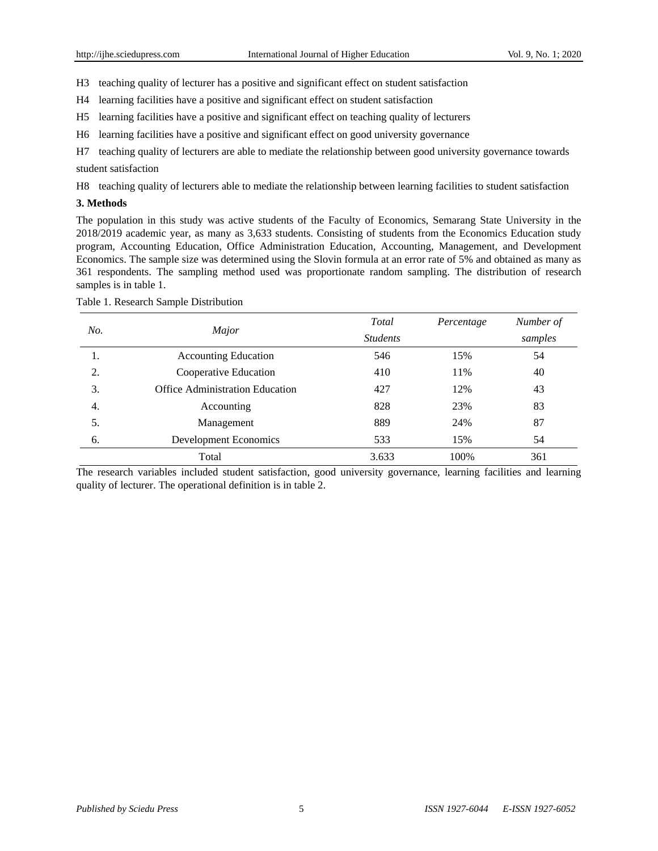H3 teaching quality of lecturer has a positive and significant effect on student satisfaction

H4 learning facilities have a positive and significant effect on student satisfaction

- H5 learning facilities have a positive and significant effect on teaching quality of lecturers
- H6 learning facilities have a positive and significant effect on good university governance

H7 teaching quality of lecturers are able to mediate the relationship between good university governance towards student satisfaction

H8 teaching quality of lecturers able to mediate the relationship between learning facilities to student satisfaction

#### **3. Methods**

The population in this study was active students of the Faculty of Economics, Semarang State University in the 2018/2019 academic year, as many as 3,633 students. Consisting of students from the Economics Education study program, Accounting Education, Office Administration Education, Accounting, Management, and Development Economics. The sample size was determined using the Slovin formula at an error rate of 5% and obtained as many as 361 respondents. The sampling method used was proportionate random sampling. The distribution of research samples is in table 1.

| No. | Major                           | Total           | Percentage | Number of |
|-----|---------------------------------|-----------------|------------|-----------|
|     |                                 | <b>Students</b> |            | samples   |
| 1.  | <b>Accounting Education</b>     | 546             | 15%        | 54        |
| 2.  | Cooperative Education           | 410             | 11%        | 40        |
| 3.  | Office Administration Education | 427             | 12%        | 43        |
| 4.  | Accounting                      | 828             | 23%        | 83        |
| 5.  | Management                      | 889             | 24%        | 87        |
| 6.  | <b>Development Economics</b>    | 533             | 15%        | 54        |
|     | Total                           | 3.633           | 100%       | 361       |

Table 1. Research Sample Distribution

The research variables included student satisfaction, good university governance, learning facilities and learning quality of lecturer. The operational definition is in table 2.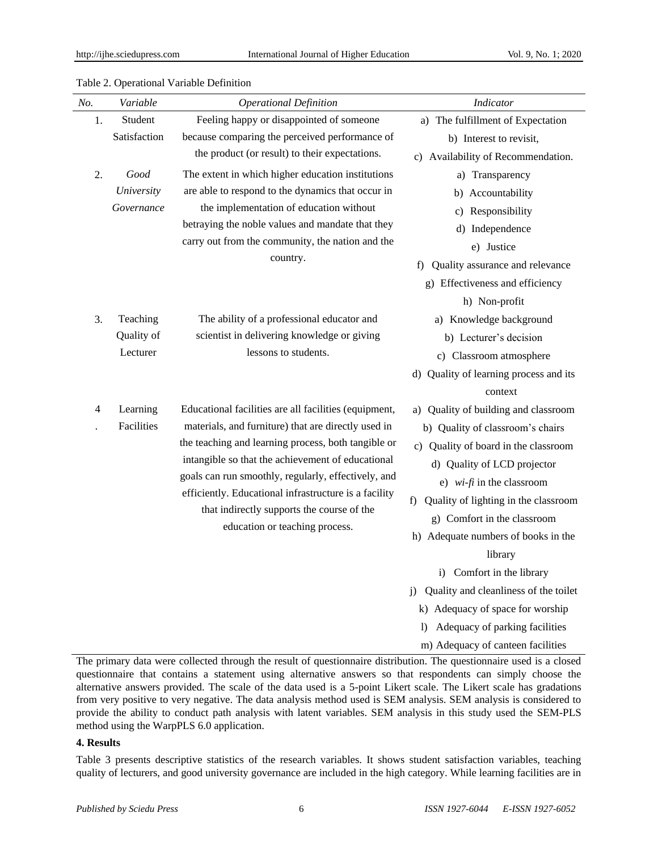| No.      | Variable             | <b>Operational Definition</b>                                                                                                                                                                                                                                                                                                                                   | Indicator                                      |
|----------|----------------------|-----------------------------------------------------------------------------------------------------------------------------------------------------------------------------------------------------------------------------------------------------------------------------------------------------------------------------------------------------------------|------------------------------------------------|
| 1.       | Student              | Feeling happy or disappointed of someone                                                                                                                                                                                                                                                                                                                        | a) The fulfillment of Expectation              |
|          | Satisfaction         | because comparing the perceived performance of                                                                                                                                                                                                                                                                                                                  | b) Interest to revisit,                        |
|          |                      | the product (or result) to their expectations.                                                                                                                                                                                                                                                                                                                  | c) Availability of Recommendation.             |
| 2.       | Good                 | The extent in which higher education institutions                                                                                                                                                                                                                                                                                                               | a) Transparency                                |
|          | University           | are able to respond to the dynamics that occur in                                                                                                                                                                                                                                                                                                               | b) Accountability                              |
|          | Governance           | the implementation of education without<br>betraying the noble values and mandate that they<br>carry out from the community, the nation and the<br>country.                                                                                                                                                                                                     | c) Responsibility                              |
|          |                      |                                                                                                                                                                                                                                                                                                                                                                 | d) Independence                                |
|          |                      |                                                                                                                                                                                                                                                                                                                                                                 | e) Justice                                     |
|          |                      |                                                                                                                                                                                                                                                                                                                                                                 | Quality assurance and relevance<br>f           |
|          |                      |                                                                                                                                                                                                                                                                                                                                                                 | g) Effectiveness and efficiency                |
|          |                      |                                                                                                                                                                                                                                                                                                                                                                 | h) Non-profit                                  |
| 3.       | Teaching             | The ability of a professional educator and                                                                                                                                                                                                                                                                                                                      | a) Knowledge background                        |
|          | Quality of           | scientist in delivering knowledge or giving                                                                                                                                                                                                                                                                                                                     | b) Lecturer's decision                         |
| Lecturer | lessons to students. | c) Classroom atmosphere                                                                                                                                                                                                                                                                                                                                         |                                                |
|          |                      | d) Quality of learning process and its                                                                                                                                                                                                                                                                                                                          |                                                |
|          |                      |                                                                                                                                                                                                                                                                                                                                                                 | context                                        |
| 4        | Learning             | Educational facilities are all facilities (equipment,                                                                                                                                                                                                                                                                                                           | a) Quality of building and classroom           |
|          | Facilities           | materials, and furniture) that are directly used in<br>the teaching and learning process, both tangible or<br>intangible so that the achievement of educational<br>goals can run smoothly, regularly, effectively, and<br>efficiently. Educational infrastructure is a facility<br>that indirectly supports the course of the<br>education or teaching process. | b) Quality of classroom's chairs               |
|          |                      |                                                                                                                                                                                                                                                                                                                                                                 | c) Quality of board in the classroom           |
|          |                      |                                                                                                                                                                                                                                                                                                                                                                 | d) Quality of LCD projector                    |
|          |                      |                                                                                                                                                                                                                                                                                                                                                                 | e) $wi$ - $fi$ in the classroom                |
|          |                      |                                                                                                                                                                                                                                                                                                                                                                 | Quality of lighting in the classroom<br>f)     |
|          |                      |                                                                                                                                                                                                                                                                                                                                                                 | g) Comfort in the classroom                    |
|          |                      | h) Adequate numbers of books in the                                                                                                                                                                                                                                                                                                                             |                                                |
|          |                      | library                                                                                                                                                                                                                                                                                                                                                         |                                                |
|          |                      |                                                                                                                                                                                                                                                                                                                                                                 | i) Comfort in the library                      |
|          |                      |                                                                                                                                                                                                                                                                                                                                                                 | Quality and cleanliness of the toilet<br>j)    |
|          |                      |                                                                                                                                                                                                                                                                                                                                                                 | k) Adequacy of space for worship               |
|          |                      |                                                                                                                                                                                                                                                                                                                                                                 | Adequacy of parking facilities<br>$\mathbf{D}$ |
|          |                      |                                                                                                                                                                                                                                                                                                                                                                 | m) Adequacy of canteen facilities              |

## Table 2. Operational Variable Definition

The primary data were collected through the result of questionnaire distribution. The questionnaire used is a closed questionnaire that contains a statement using alternative answers so that respondents can simply choose the alternative answers provided. The scale of the data used is a 5-point Likert scale. The Likert scale has gradations from very positive to very negative. The data analysis method used is SEM analysis. SEM analysis is considered to provide the ability to conduct path analysis with latent variables. SEM analysis in this study used the SEM-PLS method using the WarpPLS 6.0 application.

## **4. Results**

Table 3 presents descriptive statistics of the research variables. It shows student satisfaction variables, teaching quality of lecturers, and good university governance are included in the high category. While learning facilities are in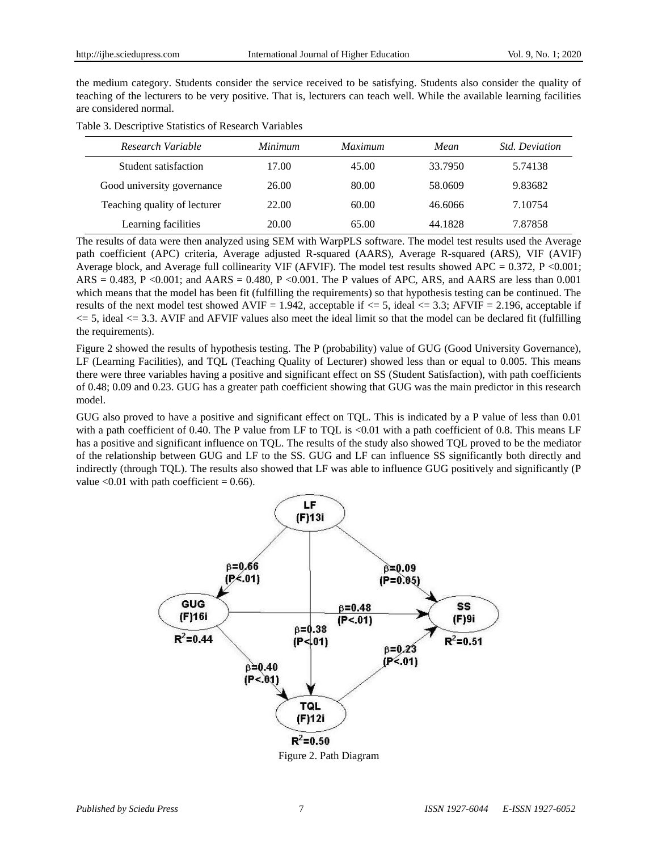the medium category. Students consider the service received to be satisfying. Students also consider the quality of teaching of the lecturers to be very positive. That is, lecturers can teach well. While the available learning facilities are considered normal.

| Table 3. Descriptive Statistics of Research Variables |  |  |  |
|-------------------------------------------------------|--|--|--|
|-------------------------------------------------------|--|--|--|

| Research Variable            | Minimum | <i>Maximum</i> | Mean    | <i>Std. Deviation</i> |
|------------------------------|---------|----------------|---------|-----------------------|
| Student satisfaction         | 17.00   | 45.00          | 33.7950 | 5.74138               |
| Good university governance   | 26.00   | 80.00          | 58.0609 | 9.83682               |
| Teaching quality of lecturer | 22.00   | 60.00          | 46.6066 | 7.10754               |
| Learning facilities          | 20.00   | 65.00          | 44.1828 | 7.87858               |

The results of data were then analyzed using SEM with WarpPLS software. The model test results used the Average path coefficient (APC) criteria, Average adjusted R-squared (AARS), Average R-squared (ARS), VIF (AVIF) Average block, and Average full collinearity VIF (AFVIF). The model test results showed APC = 0.372, P <0.001;  $ARS = 0.483$ ,  $P \le 0.001$ ; and  $AARS = 0.480$ ,  $P \le 0.001$ . The P values of APC, ARS, and AARS are less than 0.001 which means that the model has been fit (fulfilling the requirements) so that hypothesis testing can be continued. The results of the next model test showed AVIF = 1.942, acceptable if  $\leq$  5, ideal  $\leq$  3.3; AFVIF = 2.196, acceptable if  $\epsilon$  = 5, ideal  $\epsilon$  = 3.3. AVIF and AFVIF values also meet the ideal limit so that the model can be declared fit (fulfilling the requirements).

Figure 2 showed the results of hypothesis testing. The P (probability) value of GUG (Good University Governance), LF (Learning Facilities), and TQL (Teaching Quality of Lecturer) showed less than or equal to 0.005. This means there were three variables having a positive and significant effect on SS (Student Satisfaction), with path coefficients of 0.48; 0.09 and 0.23. GUG has a greater path coefficient showing that GUG was the main predictor in this research model.

GUG also proved to have a positive and significant effect on TQL. This is indicated by a P value of less than 0.01 with a path coefficient of 0.40. The P value from LF to TQL is  $<0.01$  with a path coefficient of 0.8. This means LF has a positive and significant influence on TQL. The results of the study also showed TQL proved to be the mediator of the relationship between GUG and LF to the SS. GUG and LF can influence SS significantly both directly and indirectly (through TQL). The results also showed that LF was able to influence GUG positively and significantly (P value  $< 0.01$  with path coefficient = 0.66).



Figure 2. Path Diagram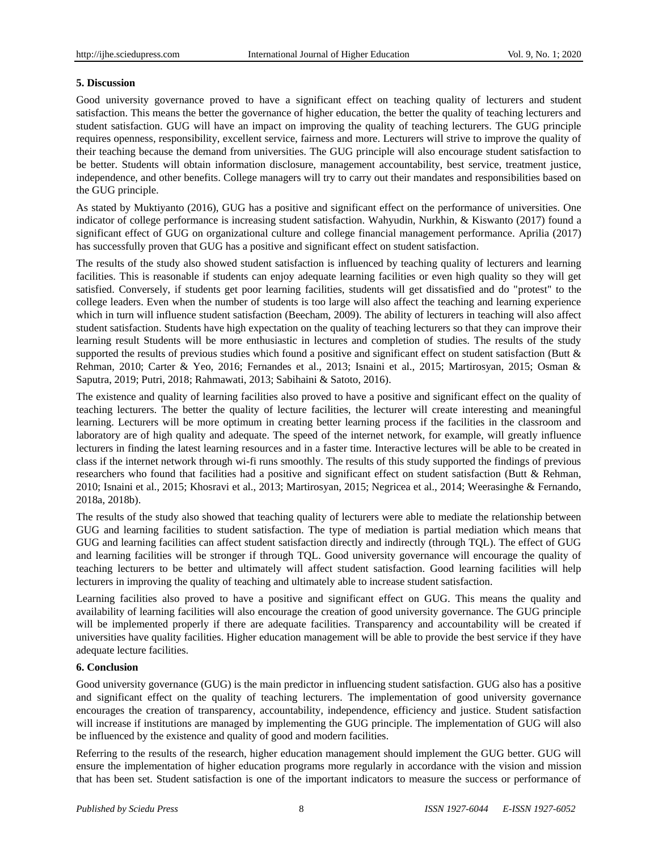## **5. Discussion**

Good university governance proved to have a significant effect on teaching quality of lecturers and student satisfaction. This means the better the governance of higher education, the better the quality of teaching lecturers and student satisfaction. GUG will have an impact on improving the quality of teaching lecturers. The GUG principle requires openness, responsibility, excellent service, fairness and more. Lecturers will strive to improve the quality of their teaching because the demand from universities. The GUG principle will also encourage student satisfaction to be better. Students will obtain information disclosure, management accountability, best service, treatment justice, independence, and other benefits. College managers will try to carry out their mandates and responsibilities based on the GUG principle.

As stated by Muktiyanto (2016), GUG has a positive and significant effect on the performance of universities. One indicator of college performance is increasing student satisfaction. Wahyudin, Nurkhin, & Kiswanto (2017) found a significant effect of GUG on organizational culture and college financial management performance. Aprilia (2017) has successfully proven that GUG has a positive and significant effect on student satisfaction.

The results of the study also showed student satisfaction is influenced by teaching quality of lecturers and learning facilities. This is reasonable if students can enjoy adequate learning facilities or even high quality so they will get satisfied. Conversely, if students get poor learning facilities, students will get dissatisfied and do "protest" to the college leaders. Even when the number of students is too large will also affect the teaching and learning experience which in turn will influence student satisfaction (Beecham, 2009). The ability of lecturers in teaching will also affect student satisfaction. Students have high expectation on the quality of teaching lecturers so that they can improve their learning result Students will be more enthusiastic in lectures and completion of studies. The results of the study supported the results of previous studies which found a positive and significant effect on student satisfaction (Butt & Rehman, 2010; Carter & Yeo, 2016; Fernandes et al., 2013; Isnaini et al., 2015; Martirosyan, 2015; Osman & Saputra, 2019; Putri, 2018; Rahmawati, 2013; Sabihaini & Satoto, 2016).

The existence and quality of learning facilities also proved to have a positive and significant effect on the quality of teaching lecturers. The better the quality of lecture facilities, the lecturer will create interesting and meaningful learning. Lecturers will be more optimum in creating better learning process if the facilities in the classroom and laboratory are of high quality and adequate. The speed of the internet network, for example, will greatly influence lecturers in finding the latest learning resources and in a faster time. Interactive lectures will be able to be created in class if the internet network through wi-fi runs smoothly. The results of this study supported the findings of previous researchers who found that facilities had a positive and significant effect on student satisfaction (Butt & Rehman, 2010; Isnaini et al., 2015; Khosravi et al., 2013; Martirosyan, 2015; Negricea et al., 2014; Weerasinghe & Fernando, 2018a, 2018b).

The results of the study also showed that teaching quality of lecturers were able to mediate the relationship between GUG and learning facilities to student satisfaction. The type of mediation is partial mediation which means that GUG and learning facilities can affect student satisfaction directly and indirectly (through TQL). The effect of GUG and learning facilities will be stronger if through TQL. Good university governance will encourage the quality of teaching lecturers to be better and ultimately will affect student satisfaction. Good learning facilities will help lecturers in improving the quality of teaching and ultimately able to increase student satisfaction.

Learning facilities also proved to have a positive and significant effect on GUG. This means the quality and availability of learning facilities will also encourage the creation of good university governance. The GUG principle will be implemented properly if there are adequate facilities. Transparency and accountability will be created if universities have quality facilities. Higher education management will be able to provide the best service if they have adequate lecture facilities.

## **6. Conclusion**

Good university governance (GUG) is the main predictor in influencing student satisfaction. GUG also has a positive and significant effect on the quality of teaching lecturers. The implementation of good university governance encourages the creation of transparency, accountability, independence, efficiency and justice. Student satisfaction will increase if institutions are managed by implementing the GUG principle. The implementation of GUG will also be influenced by the existence and quality of good and modern facilities.

Referring to the results of the research, higher education management should implement the GUG better. GUG will ensure the implementation of higher education programs more regularly in accordance with the vision and mission that has been set. Student satisfaction is one of the important indicators to measure the success or performance of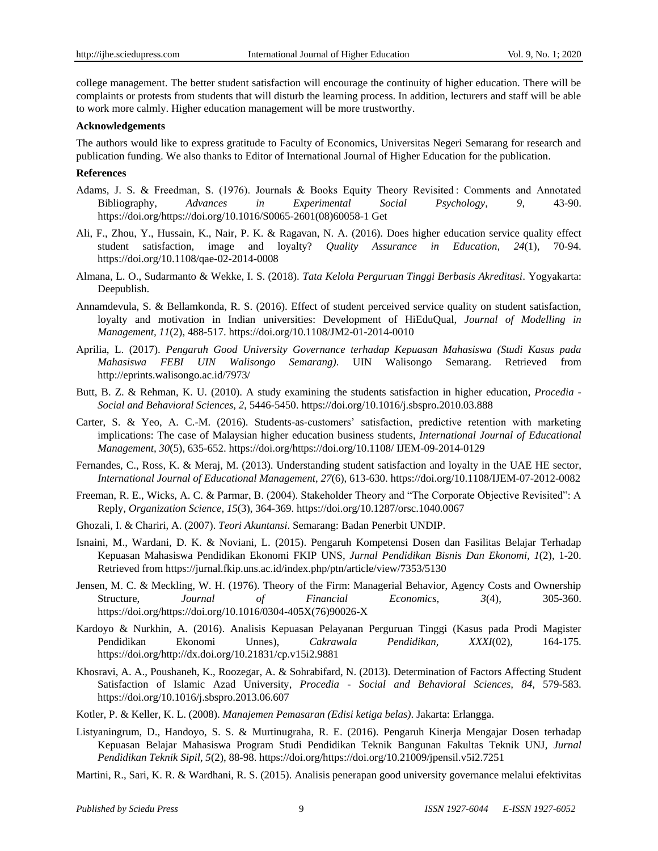college management. The better student satisfaction will encourage the continuity of higher education. There will be complaints or protests from students that will disturb the learning process. In addition, lecturers and staff will be able to work more calmly. Higher education management will be more trustworthy.

#### **Acknowledgements**

The authors would like to express gratitude to Faculty of Economics, Universitas Negeri Semarang for research and publication funding. We also thanks to Editor of International Journal of Higher Education for the publication.

#### **References**

- Adams, J. S. & Freedman, S. (1976). Journals & Books Equity Theory Revisited : Comments and Annotated Bibliography, *Advances in Experimental Social Psychology, 9*, 43-90. https://doi.org/https://doi.org/10.1016/S0065-2601(08)60058-1 Get
- Ali, F., Zhou, Y., Hussain, K., Nair, P. K. & Ragavan, N. A. (2016). Does higher education service quality effect student satisfaction, image and loyalty? *Quality Assurance in Education, 24*(1), 70-94. https://doi.org/10.1108/qae-02-2014-0008
- Almana, L. O., Sudarmanto & Wekke, I. S. (2018). *Tata Kelola Perguruan Tinggi Berbasis Akreditasi*. Yogyakarta: Deepublish.
- Annamdevula, S. & Bellamkonda, R. S. (2016). Effect of student perceived service quality on student satisfaction, loyalty and motivation in Indian universities: Development of HiEduQual, *Journal of Modelling in Management, 11*(2), 488-517. https://doi.org/10.1108/JM2-01-2014-0010
- Aprilia, L. (2017). *Pengaruh Good University Governance terhadap Kepuasan Mahasiswa (Studi Kasus pada Mahasiswa FEBI UIN Walisongo Semarang)*. UIN Walisongo Semarang. Retrieved from http://eprints.walisongo.ac.id/7973/
- Butt, B. Z. & Rehman, K. U. (2010). A study examining the students satisfaction in higher education, *Procedia - Social and Behavioral Sciences, 2*, 5446-5450. https://doi.org/10.1016/j.sbspro.2010.03.888
- Carter, S. & Yeo, A. C.-M. (2016). Students-as-customers' satisfaction, predictive retention with marketing implications: The case of Malaysian higher education business students, *International Journal of Educational Management, 30*(5), 635-652. https://doi.org/https://doi.org/10.1108/ IJEM-09-2014-0129
- Fernandes, C., Ross, K. & Meraj, M. (2013). Understanding student satisfaction and loyalty in the UAE HE sector, *International Journal of Educational Management*, *27*(6), 613-630. https://doi.org/10.1108/IJEM-07-2012-0082
- Freeman, R. E., Wicks, A. C. & Parmar, B. (2004). Stakeholder Theory and "The Corporate Objective Revisited": A Reply, *Organization Science, 15*(3), 364-369. https://doi.org/10.1287/orsc.1040.0067
- Ghozali, I. & Chariri, A. (2007). *Teori Akuntansi*. Semarang: Badan Penerbit UNDIP.
- Isnaini, M., Wardani, D. K. & Noviani, L. (2015). Pengaruh Kompetensi Dosen dan Fasilitas Belajar Terhadap Kepuasan Mahasiswa Pendidikan Ekonomi FKIP UNS, *Jurnal Pendidikan Bisnis Dan Ekonomi, 1*(2), 1-20. Retrieved from https://jurnal.fkip.uns.ac.id/index.php/ptn/article/view/7353/5130
- Jensen, M. C. & Meckling, W. H. (1976). Theory of the Firm: Managerial Behavior, Agency Costs and Ownership Structure, *Journal of Financial Economics, 3*(4), 305-360. https://doi.org/https://doi.org/10.1016/0304-405X(76)90026-X
- Kardoyo & Nurkhin, A. (2016). Analisis Kepuasan Pelayanan Perguruan Tinggi (Kasus pada Prodi Magister Pendidikan Ekonomi Unnes), *Cakrawala Pendidikan, XXXI*(02), 164-175. https://doi.org/http://dx.doi.org/10.21831/cp.v15i2.9881
- Khosravi, A. A., Poushaneh, K., Roozegar, A. & Sohrabifard, N. (2013). Determination of Factors Affecting Student Satisfaction of Islamic Azad University, *Procedia - Social and Behavioral Sciences, 84*, 579-583. https://doi.org/10.1016/j.sbspro.2013.06.607
- Kotler, P. & Keller, K. L. (2008). *Manajemen Pemasaran (Edisi ketiga belas)*. Jakarta: Erlangga.
- Listyaningrum, D., Handoyo, S. S. & Murtinugraha, R. E. (2016). Pengaruh Kinerja Mengajar Dosen terhadap Kepuasan Belajar Mahasiswa Program Studi Pendidikan Teknik Bangunan Fakultas Teknik UNJ, *Jurnal Pendidikan Teknik Sipil, 5*(2), 88-98. https://doi.org/https://doi.org/10.21009/jpensil.v5i2.7251
- Martini, R., Sari, K. R. & Wardhani, R. S. (2015). Analisis penerapan good university governance melalui efektivitas